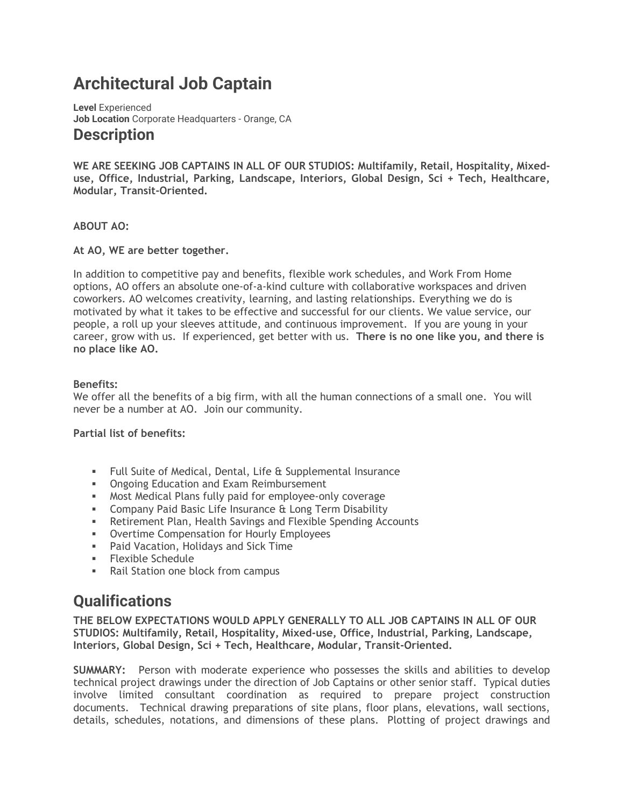# **Architectural Job Captain**

**Level** Experienced **Job Location** Corporate Headquarters - Orange, CA **Description**

**WE ARE SEEKING JOB CAPTAINS IN ALL OF OUR STUDIOS: Multifamily, Retail, Hospitality, Mixeduse, Office, Industrial, Parking, Landscape, Interiors, Global Design, Sci + Tech, Healthcare, Modular, Transit-Oriented.**

#### **ABOUT AO:**

#### **At AO, WE are better together.**

In addition to competitive pay and benefits, flexible work schedules, and Work From Home options, AO offers an absolute one-of-a-kind culture with collaborative workspaces and driven coworkers. AO welcomes creativity, learning, and lasting relationships. Everything we do is motivated by what it takes to be effective and successful for our clients. We value service, our people, a roll up your sleeves attitude, and continuous improvement. If you are young in your career, grow with us. If experienced, get better with us. **There is no one like you, and there is no place like AO.**

#### **Benefits:**

We offer all the benefits of a big firm, with all the human connections of a small one. You will never be a number at AO. Join our community.

#### **Partial list of benefits:**

- Full Suite of Medical, Dental, Life & Supplemental Insurance
- **Ongoing Education and Exam Reimbursement**
- Most Medical Plans fully paid for employee-only coverage
- **EXEDENCIPE Insurance & Long Term Disability**
- **EXECT:** Retirement Plan, Health Savings and Flexible Spending Accounts
- Overtime Compensation for Hourly Employees
- Paid Vacation, Holidays and Sick Time
- Flexible Schedule
- Rail Station one block from campus

## **Qualifications**

**THE BELOW EXPECTATIONS WOULD APPLY GENERALLY TO ALL JOB CAPTAINS IN ALL OF OUR STUDIOS: Multifamily, Retail, Hospitality, Mixed-use, Office, Industrial, Parking, Landscape, Interiors, Global Design, Sci + Tech, Healthcare, Modular, Transit-Oriented.**

**SUMMARY:** Person with moderate experience who possesses the skills and abilities to develop technical project drawings under the direction of Job Captains or other senior staff. Typical duties involve limited consultant coordination as required to prepare project construction documents. Technical drawing preparations of site plans, floor plans, elevations, wall sections, details, schedules, notations, and dimensions of these plans. Plotting of project drawings and